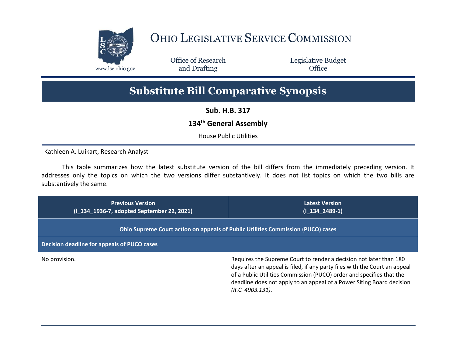

## OHIO LEGISLATIVE SERVICE COMMISSION

Office of Research www.lsc.ohio.gov **and Drafting Office** 

Legislative Budget

## **Substitute Bill Comparative Synopsis**

**Sub. H.B. 317**

## **134th General Assembly**

House Public Utilities

Kathleen A. Luikart, Research Analyst

This table summarizes how the latest substitute version of the bill differs from the immediately preceding version. It addresses only the topics on which the two versions differ substantively. It does not list topics on which the two bills are substantively the same.

| <b>Previous Version</b><br>(1_134_1936-7, adopted September 22, 2021)            | <b>Latest Version</b><br>$(I_134_2489-1)$                                                                                                                                                                                                                                                                                |
|----------------------------------------------------------------------------------|--------------------------------------------------------------------------------------------------------------------------------------------------------------------------------------------------------------------------------------------------------------------------------------------------------------------------|
| Ohio Supreme Court action on appeals of Public Utilities Commission (PUCO) cases |                                                                                                                                                                                                                                                                                                                          |
| Decision deadline for appeals of PUCO cases                                      |                                                                                                                                                                                                                                                                                                                          |
| No provision.                                                                    | Requires the Supreme Court to render a decision not later than 180<br>days after an appeal is filed, if any party files with the Court an appeal<br>of a Public Utilities Commission (PUCO) order and specifies that the<br>deadline does not apply to an appeal of a Power Siting Board decision<br>$(R.C. 4903.131)$ . |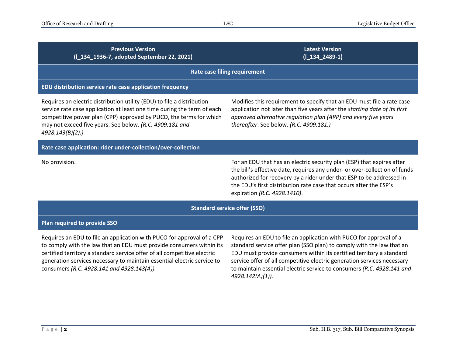| <b>Previous Version</b><br>(I_134_1936-7, adopted September 22, 2021)                                                                                                                                                                                                                                                                               | <b>Latest Version</b><br>$(I_134_2489-1)$                                                                                                                                                                                                                                                                                                                                                    |  |
|-----------------------------------------------------------------------------------------------------------------------------------------------------------------------------------------------------------------------------------------------------------------------------------------------------------------------------------------------------|----------------------------------------------------------------------------------------------------------------------------------------------------------------------------------------------------------------------------------------------------------------------------------------------------------------------------------------------------------------------------------------------|--|
| <b>Rate case filing requirement</b>                                                                                                                                                                                                                                                                                                                 |                                                                                                                                                                                                                                                                                                                                                                                              |  |
| EDU distribution service rate case application frequency                                                                                                                                                                                                                                                                                            |                                                                                                                                                                                                                                                                                                                                                                                              |  |
| Requires an electric distribution utility (EDU) to file a distribution<br>service rate case application at least one time during the term of each<br>competitive power plan (CPP) approved by PUCO, the terms for which<br>may not exceed five years. See below. (R.C. 4909.181 and<br>4928.143(B)(2).                                              | Modifies this requirement to specify that an EDU must file a rate case<br>application not later than five years after the starting date of its first<br>approved alternative regulation plan (ARP) and every five years<br>thereafter. See below. (R.C. 4909.181.)                                                                                                                           |  |
| Rate case application: rider under-collection/over-collection                                                                                                                                                                                                                                                                                       |                                                                                                                                                                                                                                                                                                                                                                                              |  |
| No provision.                                                                                                                                                                                                                                                                                                                                       | For an EDU that has an electric security plan (ESP) that expires after<br>the bill's effective date, requires any under- or over-collection of funds<br>authorized for recovery by a rider under that ESP to be addressed in<br>the EDU's first distribution rate case that occurs after the ESP's<br>expiration (R.C. 4928.1410).                                                           |  |
| <b>Standard service offer (SSO)</b>                                                                                                                                                                                                                                                                                                                 |                                                                                                                                                                                                                                                                                                                                                                                              |  |
| Plan required to provide SSO                                                                                                                                                                                                                                                                                                                        |                                                                                                                                                                                                                                                                                                                                                                                              |  |
| Requires an EDU to file an application with PUCO for approval of a CPP<br>to comply with the law that an EDU must provide consumers within its<br>certified territory a standard service offer of all competitive electric<br>generation services necessary to maintain essential electric service to<br>consumers (R.C. 4928.141 and 4928.143(A)). | Requires an EDU to file an application with PUCO for approval of a<br>standard service offer plan (SSO plan) to comply with the law that an<br>EDU must provide consumers within its certified territory a standard<br>service offer of all competitive electric generation services necessary<br>to maintain essential electric service to consumers (R.C. 4928.141 and<br>4928.142(A)(1)). |  |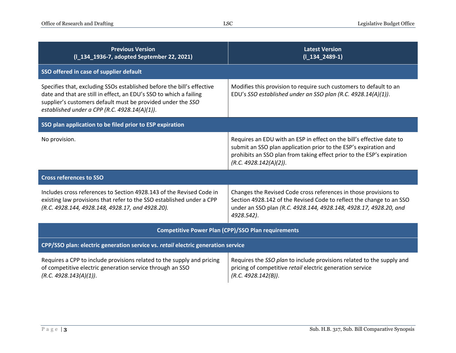| <b>Previous Version</b><br>(I_134_1936-7, adopted September 22, 2021)                                                                                                                                                                                        | <b>Latest Version</b><br>$(I_134_2489-1)$                                                                                                                                                                                                     |  |
|--------------------------------------------------------------------------------------------------------------------------------------------------------------------------------------------------------------------------------------------------------------|-----------------------------------------------------------------------------------------------------------------------------------------------------------------------------------------------------------------------------------------------|--|
| SSO offered in case of supplier default                                                                                                                                                                                                                      |                                                                                                                                                                                                                                               |  |
| Specifies that, excluding SSOs established before the bill's effective<br>date and that are still in effect, an EDU's SSO to which a failing<br>supplier's customers default must be provided under the SSO<br>established under a CPP (R.C. 4928.14(A)(1)). | Modifies this provision to require such customers to default to an<br>EDU's SSO established under an SSO plan (R.C. 4928.14(A)(1)).                                                                                                           |  |
| SSO plan application to be filed prior to ESP expiration                                                                                                                                                                                                     |                                                                                                                                                                                                                                               |  |
| No provision.                                                                                                                                                                                                                                                | Requires an EDU with an ESP in effect on the bill's effective date to<br>submit an SSO plan application prior to the ESP's expiration and<br>prohibits an SSO plan from taking effect prior to the ESP's expiration<br>(R.C. 4928.142(A)(2)). |  |
| <b>Cross references to SSO</b>                                                                                                                                                                                                                               |                                                                                                                                                                                                                                               |  |
| Includes cross references to Section 4928.143 of the Revised Code in<br>existing law provisions that refer to the SSO established under a CPP<br>(R.C. 4928.144, 4928.148, 4928.17, and 4928.20).                                                            | Changes the Revised Code cross references in those provisions to<br>Section 4928.142 of the Revised Code to reflect the change to an SSO<br>under an SSO plan (R.C. 4928.144, 4928.148, 4928.17, 4928.20, and<br>4928.542).                   |  |
| <b>Competitive Power Plan (CPP)/SSO Plan requirements</b>                                                                                                                                                                                                    |                                                                                                                                                                                                                                               |  |
| CPP/SSO plan: electric generation service vs. retail electric generation service                                                                                                                                                                             |                                                                                                                                                                                                                                               |  |
| Requires a CPP to include provisions related to the supply and pricing<br>of competitive electric generation service through an SSO<br>(R.C. 4928.143(A)(1)).                                                                                                | Requires the SSO plan to include provisions related to the supply and<br>pricing of competitive retail electric generation service<br>(R.C. 4928.142(B)).                                                                                     |  |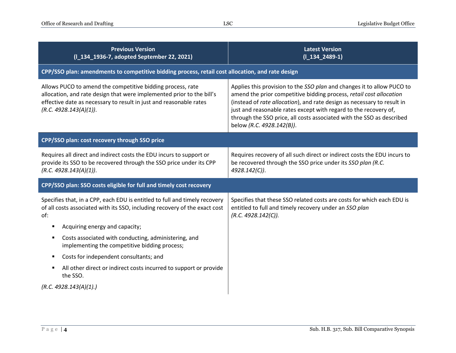| <b>Previous Version</b><br>(I_134_1936-7, adopted September 22, 2021)                                                                                                                                                               | <b>Latest Version</b><br>$(I_134_2489-1)$                                                                                                                                                                                                                                                                                                                                                          |
|-------------------------------------------------------------------------------------------------------------------------------------------------------------------------------------------------------------------------------------|----------------------------------------------------------------------------------------------------------------------------------------------------------------------------------------------------------------------------------------------------------------------------------------------------------------------------------------------------------------------------------------------------|
| CPP/SSO plan: amendments to competitive bidding process, retail cost allocation, and rate design                                                                                                                                    |                                                                                                                                                                                                                                                                                                                                                                                                    |
| Allows PUCO to amend the competitive bidding process, rate<br>allocation, and rate design that were implemented prior to the bill's<br>effective date as necessary to result in just and reasonable rates<br>(R.C. 4928.143(A)(1)). | Applies this provision to the SSO plan and changes it to allow PUCO to<br>amend the prior competitive bidding process, retail cost allocation<br>(instead of rate allocation), and rate design as necessary to result in<br>just and reasonable rates except with regard to the recovery of,<br>through the SSO price, all costs associated with the SSO as described<br>below (R.C. 4928.142(B)). |
| CPP/SSO plan: cost recovery through SSO price                                                                                                                                                                                       |                                                                                                                                                                                                                                                                                                                                                                                                    |
| Requires all direct and indirect costs the EDU incurs to support or<br>provide its SSO to be recovered through the SSO price under its CPP<br>(R.C. 4928.143(A)(1)).                                                                | Requires recovery of all such direct or indirect costs the EDU incurs to<br>be recovered through the SSO price under its SSO plan (R.C.<br>4928.142(C)).                                                                                                                                                                                                                                           |
| CPP/SSO plan: SSO costs eligible for full and timely cost recovery                                                                                                                                                                  |                                                                                                                                                                                                                                                                                                                                                                                                    |
| Specifies that, in a CPP, each EDU is entitled to full and timely recovery<br>of all costs associated with its SSO, including recovery of the exact cost<br>of:                                                                     | Specifies that these SSO related costs are costs for which each EDU is<br>entitled to full and timely recovery under an SSO plan<br>(R.C. 4928.142(C)).                                                                                                                                                                                                                                            |
| Acquiring energy and capacity;<br>٠                                                                                                                                                                                                 |                                                                                                                                                                                                                                                                                                                                                                                                    |
| Costs associated with conducting, administering, and<br>٠<br>implementing the competitive bidding process;                                                                                                                          |                                                                                                                                                                                                                                                                                                                                                                                                    |
| Costs for independent consultants; and                                                                                                                                                                                              |                                                                                                                                                                                                                                                                                                                                                                                                    |
| All other direct or indirect costs incurred to support or provide<br>the SSO.                                                                                                                                                       |                                                                                                                                                                                                                                                                                                                                                                                                    |
| (R.C. 4928.143(A)(1))                                                                                                                                                                                                               |                                                                                                                                                                                                                                                                                                                                                                                                    |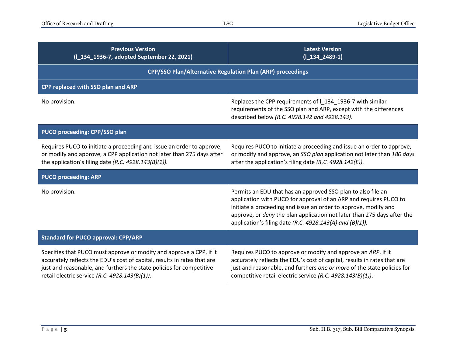| <b>Previous Version</b><br>(I_134_1936-7, adopted September 22, 2021)                                                                                                                                                                                                     | <b>Latest Version</b><br>$(I_134_2489-1)$                                                                                                                                                                                                                                                                                                   |
|---------------------------------------------------------------------------------------------------------------------------------------------------------------------------------------------------------------------------------------------------------------------------|---------------------------------------------------------------------------------------------------------------------------------------------------------------------------------------------------------------------------------------------------------------------------------------------------------------------------------------------|
| <b>CPP/SSO Plan/Alternative Regulation Plan (ARP) proceedings</b>                                                                                                                                                                                                         |                                                                                                                                                                                                                                                                                                                                             |
| CPP replaced with SSO plan and ARP                                                                                                                                                                                                                                        |                                                                                                                                                                                                                                                                                                                                             |
| No provision.                                                                                                                                                                                                                                                             | Replaces the CPP requirements of 1_134_1936-7 with similar<br>requirements of the SSO plan and ARP, except with the differences<br>described below (R.C. 4928.142 and 4928.143).                                                                                                                                                            |
| PUCO proceeding: CPP/SSO plan                                                                                                                                                                                                                                             |                                                                                                                                                                                                                                                                                                                                             |
| Requires PUCO to initiate a proceeding and issue an order to approve,<br>or modify and approve, a CPP application not later than 275 days after<br>the application's filing date (R.C. $4928.143(B)(1)$ ).                                                                | Requires PUCO to initiate a proceeding and issue an order to approve,<br>or modify and approve, an SSO plan application not later than 180 days<br>after the application's filing date (R.C. 4928.142(E)).                                                                                                                                  |
| <b>PUCO proceeding: ARP</b>                                                                                                                                                                                                                                               |                                                                                                                                                                                                                                                                                                                                             |
| No provision.                                                                                                                                                                                                                                                             | Permits an EDU that has an approved SSO plan to also file an<br>application with PUCO for approval of an ARP and requires PUCO to<br>initiate a proceeding and issue an order to approve, modify and<br>approve, or deny the plan application not later than 275 days after the<br>application's filing date (R.C. 4928.143(A) and (B)(1)). |
| <b>Standard for PUCO approval: CPP/ARP</b>                                                                                                                                                                                                                                |                                                                                                                                                                                                                                                                                                                                             |
| Specifies that PUCO must approve or modify and approve a CPP, if it<br>accurately reflects the EDU's cost of capital, results in rates that are<br>just and reasonable, and furthers the state policies for competitive<br>retail electric service (R.C. 4928.143(B)(1)). | Requires PUCO to approve or modify and approve an ARP, if it<br>accurately reflects the EDU's cost of capital, results in rates that are<br>just and reasonable, and furthers one or more of the state policies for<br>competitive retail electric service (R.C. 4928.143(B)(1)).                                                           |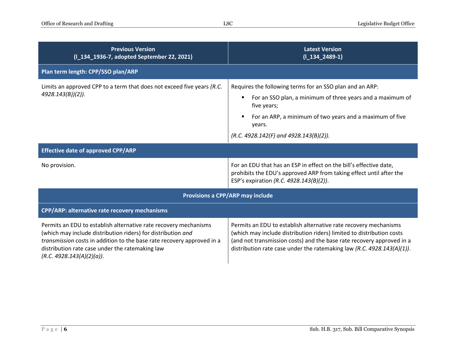| <b>Previous Version</b><br>(I_134_1936-7, adopted September 22, 2021)                                                                                                                                                                                                                      | <b>Latest Version</b><br>$(I_134_2489-1)$                                                                                                                                                                                                                                                    |
|--------------------------------------------------------------------------------------------------------------------------------------------------------------------------------------------------------------------------------------------------------------------------------------------|----------------------------------------------------------------------------------------------------------------------------------------------------------------------------------------------------------------------------------------------------------------------------------------------|
| Plan term length: CPP/SSO plan/ARP                                                                                                                                                                                                                                                         |                                                                                                                                                                                                                                                                                              |
| Limits an approved CPP to a term that does not exceed five years (R.C.<br>4928.143(B))(2)).                                                                                                                                                                                                | Requires the following terms for an SSO plan and an ARP:<br>For an SSO plan, a minimum of three years and a maximum of<br>five years;<br>For an ARP, a minimum of two years and a maximum of five<br>years.<br>(R.C. 4928.142(F) and 4928.143(B)(2)).                                        |
| <b>Effective date of approved CPP/ARP</b>                                                                                                                                                                                                                                                  |                                                                                                                                                                                                                                                                                              |
| No provision.                                                                                                                                                                                                                                                                              | For an EDU that has an ESP in effect on the bill's effective date,<br>prohibits the EDU's approved ARP from taking effect until after the<br>ESP's expiration (R.C. 4928.143(B)(2)).                                                                                                         |
| Provisions a CPP/ARP may include                                                                                                                                                                                                                                                           |                                                                                                                                                                                                                                                                                              |
| CPP/ARP: alternative rate recovery mechanisms                                                                                                                                                                                                                                              |                                                                                                                                                                                                                                                                                              |
| Permits an EDU to establish alternative rate recovery mechanisms<br>(which may include distribution riders) for distribution and<br>transmission costs in addition to the base rate recovery approved in a<br>distribution rate case under the ratemaking law<br>(R.C. 4928.143(A)(2)(a)). | Permits an EDU to establish alternative rate recovery mechanisms<br>(which may include distribution riders) limited to distribution costs<br>(and not transmission costs) and the base rate recovery approved in a<br>distribution rate case under the ratemaking law (R.C. 4928.143(A)(1)). |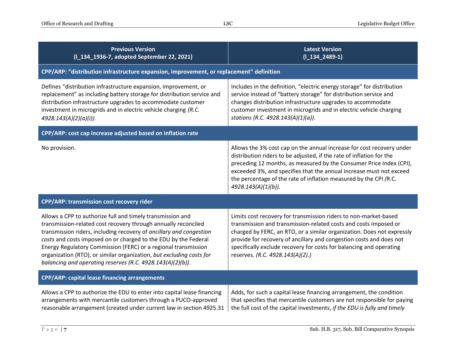| <b>Previous Version</b><br>(I_134_1936-7, adopted September 22, 2021)                                                                                                                                                                                                                                                                                                                                                                                                          | <b>Latest Version</b><br>$(I_134_2489-1)$                                                                                                                                                                                                                                                                                                                                                        |  |
|--------------------------------------------------------------------------------------------------------------------------------------------------------------------------------------------------------------------------------------------------------------------------------------------------------------------------------------------------------------------------------------------------------------------------------------------------------------------------------|--------------------------------------------------------------------------------------------------------------------------------------------------------------------------------------------------------------------------------------------------------------------------------------------------------------------------------------------------------------------------------------------------|--|
| CPP/ARP: "distribution infrastructure expansion, improvement, or replacement" definition                                                                                                                                                                                                                                                                                                                                                                                       |                                                                                                                                                                                                                                                                                                                                                                                                  |  |
| Defines "distribution infrastructure expansion, improvement, or<br>replacement" as including battery storage for distribution service and<br>distribution infrastructure upgrades to accommodate customer<br>investment in microgrids and in electric vehicle charging (R.C.<br>4928.143(A)(2)(a)(i)).                                                                                                                                                                         | Includes in the definition, "electric energy storage" for distribution<br>service instead of "battery storage" for distribution service and<br>changes distribution infrastructure upgrades to accommodate<br>customer investment in microgrids and in electric vehicle charging<br>stations (R.C. 4928.143(A)(1)(a)).                                                                           |  |
| CPP/ARP: cost cap increase adjusted based on inflation rate                                                                                                                                                                                                                                                                                                                                                                                                                    |                                                                                                                                                                                                                                                                                                                                                                                                  |  |
| No provision.                                                                                                                                                                                                                                                                                                                                                                                                                                                                  | Allows the 3% cost cap on the annual increase for cost recovery under<br>distribution riders to be adjusted, if the rate of inflation for the<br>preceding 12 months, as measured by the Consumer Price Index (CPI),<br>exceeded 3%, and specifies that the annual increase must not exceed<br>the percentage of the rate of inflation measured by the CPI (R.C.<br>4928.143(A)(1)(b)).          |  |
| CPP/ARP: transmission cost recovery rider                                                                                                                                                                                                                                                                                                                                                                                                                                      |                                                                                                                                                                                                                                                                                                                                                                                                  |  |
| Allows a CPP to authorize full and timely transmission and<br>transmission-related cost recovery through annually reconciled<br>transmission riders, including recovery of ancillary and congestion<br>costs and costs imposed on or charged to the EDU by the Federal<br>Energy Regulatory Commission (FERC) or a regional transmission<br>organization (RTO), or similar organization, but excluding costs for<br>balancing and operating reserves (R.C. 4928.143(A)(2)(b)). | Limits cost recovery for transmission riders to non-market-based<br>transmission and transmission-related costs and costs imposed or<br>charged by FERC, an RTO, or a similar organization. Does not expressly<br>provide for recovery of ancillary and congestion costs and does not<br>specifically exclude recovery for costs for balancing and operating<br>reserves. (R.C. 4928.143(A)(2).) |  |
| CPP/ARP: capital lease financing arrangements                                                                                                                                                                                                                                                                                                                                                                                                                                  |                                                                                                                                                                                                                                                                                                                                                                                                  |  |
| Allows a CPP to authorize the EDU to enter into capital lease financing<br>arrangements with mercantile customers through a PUCO-approved<br>reasonable arrangement (created under current law in section 4925.31                                                                                                                                                                                                                                                              | Adds, for such a capital lease financing arrangement, the condition<br>that specifies that mercantile customers are not responsible for paying<br>the full cost of the capital investments, if the EDU is fully and timely                                                                                                                                                                       |  |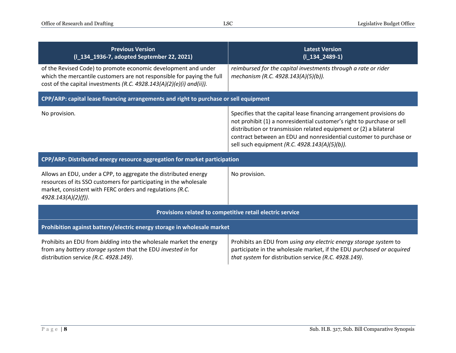| <b>Previous Version</b><br>(I_134_1936-7, adopted September 22, 2021)                                                                                                                                                    | <b>Latest Version</b><br>$(I_134_2489-1)$                                                                                                                                                                                                                                                                                                  |  |
|--------------------------------------------------------------------------------------------------------------------------------------------------------------------------------------------------------------------------|--------------------------------------------------------------------------------------------------------------------------------------------------------------------------------------------------------------------------------------------------------------------------------------------------------------------------------------------|--|
| of the Revised Code) to promote economic development and under<br>which the mercantile customers are not responsible for paying the full<br>cost of the capital investments (R.C. 4928.143(A)(2)(e)(i) and(ii)).         | reimbursed for the capital investments through a rate or rider<br>mechanism (R.C. 4928.143(A)(5)(b)).                                                                                                                                                                                                                                      |  |
| CPP/ARP: capital lease financing arrangements and right to purchase or sell equipment                                                                                                                                    |                                                                                                                                                                                                                                                                                                                                            |  |
| No provision.                                                                                                                                                                                                            | Specifies that the capital lease financing arrangement provisions do<br>not prohibit (1) a nonresidential customer's right to purchase or sell<br>distribution or transmission related equipment or (2) a bilateral<br>contract between an EDU and nonresidential customer to purchase or<br>sell such equipment (R.C. 4928.143(A)(5)(b)). |  |
| CPP/ARP: Distributed energy resource aggregation for market participation                                                                                                                                                |                                                                                                                                                                                                                                                                                                                                            |  |
| Allows an EDU, under a CPP, to aggregate the distributed energy<br>resources of its SSO customers for participating in the wholesale<br>market, consistent with FERC orders and regulations (R.C.<br>4928.143(A)(2)(f)). | No provision.                                                                                                                                                                                                                                                                                                                              |  |
| Provisions related to competitive retail electric service                                                                                                                                                                |                                                                                                                                                                                                                                                                                                                                            |  |
| Prohibition against battery/electric energy storage in wholesale market                                                                                                                                                  |                                                                                                                                                                                                                                                                                                                                            |  |
| Prohibits an EDU from bidding into the wholesale market the energy<br>from any battery storage system that the EDU invested in for<br>distribution service (R.C. 4928.149).                                              | Prohibits an EDU from using any electric energy storage system to<br>participate in the wholesale market, if the EDU purchased or acquired<br>that system for distribution service (R.C. 4928.149).                                                                                                                                        |  |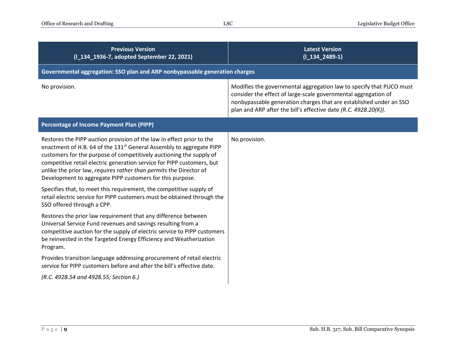| <b>Previous Version</b><br>(I_134_1936-7, adopted September 22, 2021)                                                                                                                                                                                                                                                                                                                                                                                                                                                                                                                                                         | <b>Latest Version</b><br>$(I_134_2489-1)$                                                                                                                                                                                                                                      |
|-------------------------------------------------------------------------------------------------------------------------------------------------------------------------------------------------------------------------------------------------------------------------------------------------------------------------------------------------------------------------------------------------------------------------------------------------------------------------------------------------------------------------------------------------------------------------------------------------------------------------------|--------------------------------------------------------------------------------------------------------------------------------------------------------------------------------------------------------------------------------------------------------------------------------|
| Governmental aggregation: SSO plan and ARP nonbypassable generation charges                                                                                                                                                                                                                                                                                                                                                                                                                                                                                                                                                   |                                                                                                                                                                                                                                                                                |
| No provision.                                                                                                                                                                                                                                                                                                                                                                                                                                                                                                                                                                                                                 | Modifies the governmental aggregation law to specify that PUCO must<br>consider the effect of large-scale governmental aggregation of<br>nonbypassable generation charges that are established under an SSO<br>plan and ARP after the bill's effective date (R.C. 4928.20(K)). |
| Percentage of Income Payment Plan (PIPP)                                                                                                                                                                                                                                                                                                                                                                                                                                                                                                                                                                                      |                                                                                                                                                                                                                                                                                |
| Restores the PIPP auction provision of the law in effect prior to the<br>enactment of H.B. 64 of the 131 <sup>st</sup> General Assembly to aggregate PIPP<br>customers for the purpose of competitively auctioning the supply of<br>competitive retail electric generation service for PIPP customers, but<br>unlike the prior law, requires rather than permits the Director of<br>Development to aggregate PIPP customers for this purpose.<br>Specifies that, to meet this requirement, the competitive supply of<br>retail electric service for PIPP customers must be obtained through the<br>SSO offered through a CPP. | No provision.                                                                                                                                                                                                                                                                  |
| Restores the prior law requirement that any difference between<br>Universal Service Fund revenues and savings resulting from a<br>competitive auction for the supply of electric service to PIPP customers<br>be reinvested in the Targeted Energy Efficiency and Weatherization<br>Program.                                                                                                                                                                                                                                                                                                                                  |                                                                                                                                                                                                                                                                                |
| Provides transition language addressing procurement of retail electric<br>service for PIPP customers before and after the bill's effective date.                                                                                                                                                                                                                                                                                                                                                                                                                                                                              |                                                                                                                                                                                                                                                                                |
| (R.C. 4928.54 and 4928.55; Section 6.)                                                                                                                                                                                                                                                                                                                                                                                                                                                                                                                                                                                        |                                                                                                                                                                                                                                                                                |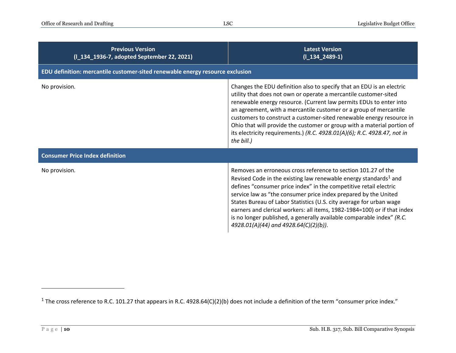| <b>Previous Version</b><br>(I_134_1936-7, adopted September 22, 2021)         | <b>Latest Version</b><br>$(I_134_2489-1)$                                                                                                                                                                                                                                                                                                                                                                                                                                                                                                                  |
|-------------------------------------------------------------------------------|------------------------------------------------------------------------------------------------------------------------------------------------------------------------------------------------------------------------------------------------------------------------------------------------------------------------------------------------------------------------------------------------------------------------------------------------------------------------------------------------------------------------------------------------------------|
| EDU definition: mercantile customer-sited renewable energy resource exclusion |                                                                                                                                                                                                                                                                                                                                                                                                                                                                                                                                                            |
| No provision.                                                                 | Changes the EDU definition also to specify that an EDU is an electric<br>utility that does not own or operate a mercantile customer-sited<br>renewable energy resource. (Current law permits EDUs to enter into<br>an agreement, with a mercantile customer or a group of mercantile<br>customers to construct a customer-sited renewable energy resource in<br>Ohio that will provide the customer or group with a material portion of<br>its electricity requirements.) (R.C. 4928.01(A)(6); R.C. 4928.47, not in<br>the bill.)                          |
| <b>Consumer Price Index definition</b>                                        |                                                                                                                                                                                                                                                                                                                                                                                                                                                                                                                                                            |
| No provision.                                                                 | Removes an erroneous cross reference to section 101.27 of the<br>Revised Code in the existing law renewable energy standards <sup>1</sup> and<br>defines "consumer price index" in the competitive retail electric<br>service law as "the consumer price index prepared by the United<br>States Bureau of Labor Statistics (U.S. city average for urban wage<br>earners and clerical workers: all items, 1982-1984=100) or if that index<br>is no longer published, a generally available comparable index" (R.C.<br>4928.01(A)(44) and 4928.64(C)(2)(b)). |

<sup>1</sup> The cross reference to R.C. 101.27 that appears in R.C. 4928.64(C)(2)(b) does not include a definition of the term "consumer price index."

 $\overline{a}$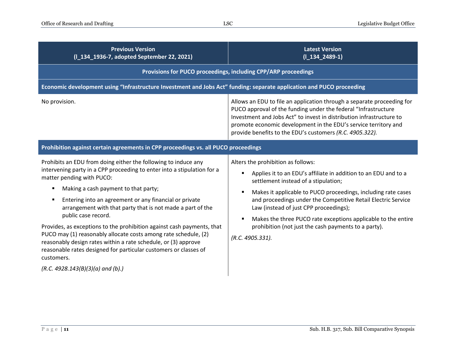| <b>Previous Version</b><br>(I_134_1936-7, adopted September 22, 2021)                                                                                                                                                                                                                                                                                                                                                                                                                                                                                                                                                                                          | <b>Latest Version</b><br>$(I_134_2489-1)$                                                                                                                                                                                                                                                                                                                                                                                                                                                          |  |
|----------------------------------------------------------------------------------------------------------------------------------------------------------------------------------------------------------------------------------------------------------------------------------------------------------------------------------------------------------------------------------------------------------------------------------------------------------------------------------------------------------------------------------------------------------------------------------------------------------------------------------------------------------------|----------------------------------------------------------------------------------------------------------------------------------------------------------------------------------------------------------------------------------------------------------------------------------------------------------------------------------------------------------------------------------------------------------------------------------------------------------------------------------------------------|--|
| Provisions for PUCO proceedings, including CPP/ARP proceedings                                                                                                                                                                                                                                                                                                                                                                                                                                                                                                                                                                                                 |                                                                                                                                                                                                                                                                                                                                                                                                                                                                                                    |  |
| Economic development using "Infrastructure Investment and Jobs Act" funding: separate application and PUCO proceeding                                                                                                                                                                                                                                                                                                                                                                                                                                                                                                                                          |                                                                                                                                                                                                                                                                                                                                                                                                                                                                                                    |  |
| No provision.                                                                                                                                                                                                                                                                                                                                                                                                                                                                                                                                                                                                                                                  | Allows an EDU to file an application through a separate proceeding for<br>PUCO approval of the funding under the federal "Infrastructure<br>Investment and Jobs Act" to invest in distribution infrastructure to<br>promote economic development in the EDU's service territory and<br>provide benefits to the EDU's customers (R.C. 4905.322).                                                                                                                                                    |  |
| Prohibition against certain agreements in CPP proceedings vs. all PUCO proceedings                                                                                                                                                                                                                                                                                                                                                                                                                                                                                                                                                                             |                                                                                                                                                                                                                                                                                                                                                                                                                                                                                                    |  |
| Prohibits an EDU from doing either the following to induce any<br>intervening party in a CPP proceeding to enter into a stipulation for a<br>matter pending with PUCO:<br>Making a cash payment to that party;<br>Entering into an agreement or any financial or private<br>arrangement with that party that is not made a part of the<br>public case record.<br>Provides, as exceptions to the prohibition against cash payments, that<br>PUCO may (1) reasonably allocate costs among rate schedule, (2)<br>reasonably design rates within a rate schedule, or (3) approve<br>reasonable rates designed for particular customers or classes of<br>customers. | Alters the prohibition as follows:<br>Applies it to an EDU's affiliate in addition to an EDU and to a<br>$\blacksquare$<br>settlement instead of a stipulation;<br>Makes it applicable to PUCO proceedings, including rate cases<br>٠<br>and proceedings under the Competitive Retail Electric Service<br>Law (instead of just CPP proceedings);<br>Makes the three PUCO rate exceptions applicable to the entire<br>٠<br>prohibition (not just the cash payments to a party).<br>(R.C. 4905.331). |  |
| $(R.C. 4928.143(B)(3)(a)$ and (b).)                                                                                                                                                                                                                                                                                                                                                                                                                                                                                                                                                                                                                            |                                                                                                                                                                                                                                                                                                                                                                                                                                                                                                    |  |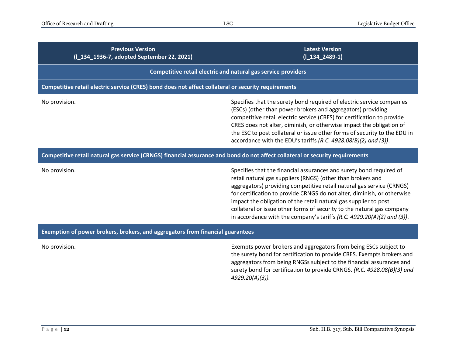| <b>Previous Version</b><br>(I_134_1936-7, adopted September 22, 2021)                                                         | <b>Latest Version</b><br>$(I_134_2489-1)$                                                                                                                                                                                                                                                                                                                                                                                                                                                                           |  |
|-------------------------------------------------------------------------------------------------------------------------------|---------------------------------------------------------------------------------------------------------------------------------------------------------------------------------------------------------------------------------------------------------------------------------------------------------------------------------------------------------------------------------------------------------------------------------------------------------------------------------------------------------------------|--|
|                                                                                                                               | Competitive retail electric and natural gas service providers                                                                                                                                                                                                                                                                                                                                                                                                                                                       |  |
| Competitive retail electric service (CRES) bond does not affect collateral or security requirements                           |                                                                                                                                                                                                                                                                                                                                                                                                                                                                                                                     |  |
| No provision.                                                                                                                 | Specifies that the surety bond required of electric service companies<br>(ESCs) (other than power brokers and aggregators) providing<br>competitive retail electric service (CRES) for certification to provide<br>CRES does not alter, diminish, or otherwise impact the obligation of<br>the ESC to post collateral or issue other forms of security to the EDU in<br>accordance with the EDU's tariffs (R.C. 4928.08(B)(2) and (3)).                                                                             |  |
| Competitive retail natural gas service (CRNGS) financial assurance and bond do not affect collateral or security requirements |                                                                                                                                                                                                                                                                                                                                                                                                                                                                                                                     |  |
| No provision.                                                                                                                 | Specifies that the financial assurances and surety bond required of<br>retail natural gas suppliers (RNGS) (other than brokers and<br>aggregators) providing competitive retail natural gas service (CRNGS)<br>for certification to provide CRNGS do not alter, diminish, or otherwise<br>impact the obligation of the retail natural gas supplier to post<br>collateral or issue other forms of security to the natural gas company<br>in accordance with the company's tariffs $(R.C. 4929.20(A)(2)$ and $(3)$ ). |  |
| Exemption of power brokers, brokers, and aggregators from financial guarantees                                                |                                                                                                                                                                                                                                                                                                                                                                                                                                                                                                                     |  |
| No provision.                                                                                                                 | Exempts power brokers and aggregators from being ESCs subject to<br>the surety bond for certification to provide CRES. Exempts brokers and<br>aggregators from being RNGSs subject to the financial assurances and<br>surety bond for certification to provide CRNGS. (R.C. 4928.08(B)(3) and<br>4929.20(A)(3)).                                                                                                                                                                                                    |  |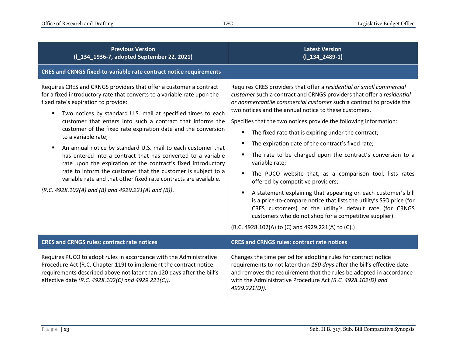| <b>Previous Version</b><br>(I_134_1936-7, adopted September 22, 2021)                                                                                                                                                                                                                                                                                                                                                                                                                                                                                                                                                                                                                                                                                                                                        | <b>Latest Version</b><br>$(I_134_2489-1)$                                                                                                                                                                                                                                                                                                                                                                                                                                                                                                                                                                                                                                                                                                                                                                                                                                                                                                                           |  |
|--------------------------------------------------------------------------------------------------------------------------------------------------------------------------------------------------------------------------------------------------------------------------------------------------------------------------------------------------------------------------------------------------------------------------------------------------------------------------------------------------------------------------------------------------------------------------------------------------------------------------------------------------------------------------------------------------------------------------------------------------------------------------------------------------------------|---------------------------------------------------------------------------------------------------------------------------------------------------------------------------------------------------------------------------------------------------------------------------------------------------------------------------------------------------------------------------------------------------------------------------------------------------------------------------------------------------------------------------------------------------------------------------------------------------------------------------------------------------------------------------------------------------------------------------------------------------------------------------------------------------------------------------------------------------------------------------------------------------------------------------------------------------------------------|--|
| CRES and CRNGS fixed-to-variable rate contract notice requirements                                                                                                                                                                                                                                                                                                                                                                                                                                                                                                                                                                                                                                                                                                                                           |                                                                                                                                                                                                                                                                                                                                                                                                                                                                                                                                                                                                                                                                                                                                                                                                                                                                                                                                                                     |  |
| Requires CRES and CRNGS providers that offer a customer a contract<br>for a fixed introductory rate that converts to a variable rate upon the<br>fixed rate's expiration to provide:<br>Two notices by standard U.S. mail at specified times to each<br>customer that enters into such a contract that informs the<br>customer of the fixed rate expiration date and the conversion<br>to a variable rate;<br>An annual notice by standard U.S. mail to each customer that<br>п<br>has entered into a contract that has converted to a variable<br>rate upon the expiration of the contract's fixed introductory<br>rate to inform the customer that the customer is subject to a<br>variable rate and that other fixed rate contracts are available.<br>(R.C. 4928.102(A) and (B) and 4929.221(A) and (B)). | Requires CRES providers that offer a residential or small commercial<br>customer such a contract and CRNGS providers that offer a residential<br>or nonmercantile commercial customer such a contract to provide the<br>two notices and the annual notice to these customers.<br>Specifies that the two notices provide the following information:<br>The fixed rate that is expiring under the contract;<br>The expiration date of the contract's fixed rate;<br>The rate to be charged upon the contract's conversion to a<br>variable rate;<br>The PUCO website that, as a comparison tool, lists rates<br>offered by competitive providers;<br>A statement explaining that appearing on each customer's bill<br>is a price-to-compare notice that lists the utility's SSO price (for<br>CRES customers) or the utility's default rate (for CRNGS<br>customers who do not shop for a competitive supplier).<br>(R.C. 4928.102(A) to (C) and 4929.221(A) to (C).) |  |
| <b>CRES and CRNGS rules: contract rate notices</b>                                                                                                                                                                                                                                                                                                                                                                                                                                                                                                                                                                                                                                                                                                                                                           | <b>CRES and CRNGS rules: contract rate notices</b>                                                                                                                                                                                                                                                                                                                                                                                                                                                                                                                                                                                                                                                                                                                                                                                                                                                                                                                  |  |
| Requires PUCO to adopt rules in accordance with the Administrative<br>Procedure Act (R.C. Chapter 119) to implement the contract notice<br>requirements described above not later than 120 days after the bill's<br>effective date (R.C. 4928.102(C) and 4929.221(C)).                                                                                                                                                                                                                                                                                                                                                                                                                                                                                                                                       | Changes the time period for adopting rules for contract notice<br>requirements to not later than 150 days after the bill's effective date<br>and removes the requirement that the rules be adopted in accordance<br>with the Administrative Procedure Act (R.C. 4928.102(D) and<br>4929.221(D)).                                                                                                                                                                                                                                                                                                                                                                                                                                                                                                                                                                                                                                                                    |  |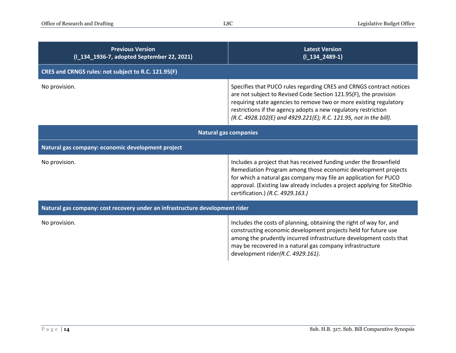| <b>Previous Version</b><br>(I_134_1936-7, adopted September 22, 2021)        | <b>Latest Version</b><br>$(I_134_2489-1)$                                                                                                                                                                                                                                                                                                            |  |
|------------------------------------------------------------------------------|------------------------------------------------------------------------------------------------------------------------------------------------------------------------------------------------------------------------------------------------------------------------------------------------------------------------------------------------------|--|
| CRES and CRNGS rules: not subject to R.C. 121.95(F)                          |                                                                                                                                                                                                                                                                                                                                                      |  |
| No provision.                                                                | Specifies that PUCO rules regarding CRES and CRNGS contract notices<br>are not subject to Revised Code Section 121.95(F), the provision<br>requiring state agencies to remove two or more existing regulatory<br>restrictions if the agency adopts a new regulatory restriction<br>(R.C. 4928.102(E) and 4929.221(E); R.C. 121.95, not in the bill). |  |
| <b>Natural gas companies</b>                                                 |                                                                                                                                                                                                                                                                                                                                                      |  |
| Natural gas company: economic development project                            |                                                                                                                                                                                                                                                                                                                                                      |  |
| No provision.                                                                | Includes a project that has received funding under the Brownfield<br>Remediation Program among those economic development projects<br>for which a natural gas company may file an application for PUCO<br>approval. (Existing law already includes a project applying for SiteOhio<br>certification.) (R.C. 4929.163.)                               |  |
| Natural gas company: cost recovery under an infrastructure development rider |                                                                                                                                                                                                                                                                                                                                                      |  |
| No provision.                                                                | Includes the costs of planning, obtaining the right of way for, and<br>constructing economic development projects held for future use<br>among the prudently incurred infrastructure development costs that<br>may be recovered in a natural gas company infrastructure<br>development rider(R.C. 4929.161).                                         |  |